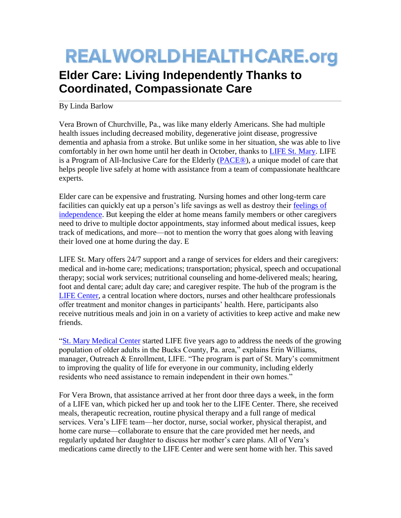## **REALWORLDHEALTHCARE.org**

 $\_$  ,  $\_$  ,  $\_$  ,  $\_$  ,  $\_$  ,  $\_$  ,  $\_$  ,  $\_$  ,  $\_$  ,  $\_$  ,  $\_$  ,  $\_$  ,  $\_$  ,  $\_$  ,  $\_$  ,  $\_$  ,  $\_$  ,  $\_$  ,  $\_$  ,  $\_$  ,  $\_$  ,  $\_$  ,  $\_$  ,  $\_$  ,  $\_$  ,  $\_$  ,  $\_$  ,  $\_$  ,  $\_$  ,  $\_$  ,  $\_$  ,  $\_$  ,  $\_$  ,  $\_$  ,  $\_$  ,  $\_$  ,  $\_$  ,

## **Elder Care: Living Independently Thanks to Coordinated, Compassionate Care**

By Linda Barlow

Vera Brown of Churchville, Pa., was like many elderly Americans. She had multiple health issues including decreased mobility, degenerative joint disease, progressive dementia and aphasia from a stroke. But unlike some in her situation, she was able to live comfortably in her own home until her death in October, thanks to [LIFE St. Mary.](http://www.stmaryhealthcare.org/LIFEStMary) LIFE is a Program of All-Inclusive Care for the Elderly [\(PACE®](http://www.npaonline.org/website/article.asp?id=4&title=Homepage)), a unique model of care that helps people live safely at home with assistance from a team of compassionate healthcare experts.

Elder care can be expensive and frustrating. Nursing homes and other long-term care facilities can quickly eat up a person's life savings as well as destroy their [feelings of](http://kaiserhealthnews.org/news/when-home-and-health-are-just-out-of-reach/?utm_campaign=KHN%3A+First+Edition&utm_source=hs_email&utm_medium=email&utm_content=15454080&_hsenc=p2ANqtz-9Q1xI-yx2sAuHV7uxB0q-kTxyqxiFlrHgxsSzlDU_Qf5ZYlR7JNDXOeSVVozTGpyEmYvCNBefGAp_xAQQIZ3WtStCiJQ&_hsmi=15454080)  [independence.](http://kaiserhealthnews.org/news/when-home-and-health-are-just-out-of-reach/?utm_campaign=KHN%3A+First+Edition&utm_source=hs_email&utm_medium=email&utm_content=15454080&_hsenc=p2ANqtz-9Q1xI-yx2sAuHV7uxB0q-kTxyqxiFlrHgxsSzlDU_Qf5ZYlR7JNDXOeSVVozTGpyEmYvCNBefGAp_xAQQIZ3WtStCiJQ&_hsmi=15454080) But keeping the elder at home means family members or other caregivers need to drive to multiple doctor appointments, stay informed about medical issues, keep track of medications, and more—not to mention the worry that goes along with leaving their loved one at home during the day. E

LIFE St. Mary offers 24/7 support and a range of services for elders and their caregivers: medical and in-home care; medications; transportation; physical, speech and occupational therapy; social work services; nutritional counseling and home-delivered meals; hearing, foot and dental care; adult day care; and caregiver respite. The hub of the program is the [LIFE Center,](http://6abc.com/society/art-of-aging-home-care-for-seniors/466945/) a central location where doctors, nurses and other healthcare professionals offer treatment and monitor changes in participants' health. Here, participants also receive nutritious meals and join in on a variety of activities to keep active and make new friends.

["St. Mary Medical Center](http://www.stmaryhealthcare.org/) started LIFE five years ago to address the needs of the growing population of older adults in the Bucks County, Pa. area," explains Erin Williams, manager, Outreach & Enrollment, LIFE. "The program is part of St. Mary's commitment to improving the quality of life for everyone in our community, including elderly residents who need assistance to remain independent in their own homes."

For Vera Brown, that assistance arrived at her front door three days a week, in the form of a LIFE van, which picked her up and took her to the LIFE Center. There, she received meals, therapeutic recreation, routine physical therapy and a full range of medical services. Vera's LIFE team—her doctor, nurse, social worker, physical therapist, and home care nurse—collaborate to ensure that the care provided met her needs, and regularly updated her daughter to discuss her mother's care plans. All of Vera's medications came directly to the LIFE Center and were sent home with her. This saved